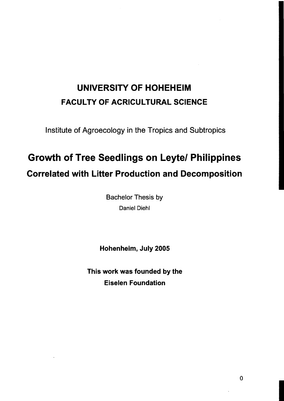## UNIVERSITY OF HOHEHEIM FACULTY OF ACRICULTURAL SCIENCE

Institute of Agroecology in the Tropics and Subtropics

## Growth of Tree Seedlings on Leytel Philippines Correlated with Litter Production and Decomposition

Bachelor Thesis by Daniel Diehl

Hohenheim, July 2005

This work was founded by the Eiselen Foundation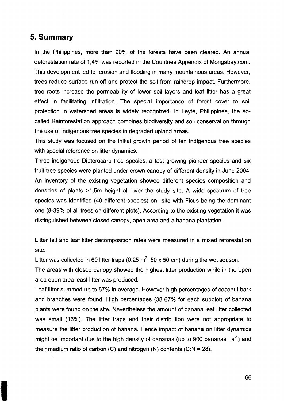## **5. Summary**

In the Philippines, more than 90% of the forests have been cleared. An annual deforestation rate of 1,4% was reported in the Countries Appendix of Mongabay.com. This development led to erosion and flooding in many mountainous areas. However, trees reduce surface run-off and protect the soil from raindrop impact. Furthermore, tree roots increase the permeability of lower soil layers and leaf litter has a great effect in facilitating infiltration. The special importance of forest cover to soil protection in watershed areas is widely recognized. In Leyte, Philippines, the socalled Rainforestation approach combines biodiversity and soil conservation through the use of indigenous tree species in degraded upland areas.

This study was focused on the initial growth period of ten indigenous tree species with special reference on litter dynamics.

Three indigenous Dipterocarp tree species, a fast growing pioneer species and six fruit tree species were planted under crown canopy of different density in June 2004. An inventory of the existing vegetation showed different species composition and densities of plants >1,5m height all over the study site. A wide spectrum of tree species was identified (40 different species) on site with Ficus being the dominant one (8-39% of all trees on different plots). According to the existing vegetation it was distinguished between closed canopy, open area and a banana plantation.

Litter fall and leaf litter decomposition rates were measured in a mixed reforestation site.

Litter was collected in 60 litter traps (0,25 m<sup>2</sup>, 50 x 50 cm) during the wet season.

The areas with closed canopy showed the highest litter production while in the open area open area least litter was produced.

Leaf litter summed up to 57% in average. However high percentages of coconut bark and branches were found. High percentages (38-67% for each subplot) of banana plants were found on the site. Nevertheless the amount of banana leaf litter collected was small (16%). The litter traps and their distribution were not appropriate to measure the litter production of banana. Hence impact of banana on litter dynamics might be important due to the high density of bananas (up to 900 bananas ha<sup>-1</sup>) and their medium ratio of carbon (C) and nitrogen (N) contents  $(C:N = 28)$ .